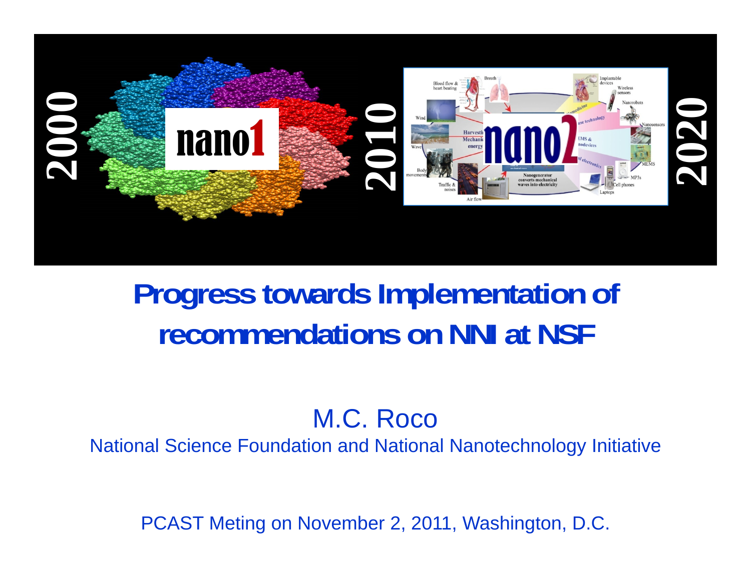

### **Progress towards Implementation of recommendations on NNI at NSF**

#### M.C. Roco

National Science Foundation and National Nanotechnology Initiative

PCAST Meting on November 2, 2011, Washington, D.C.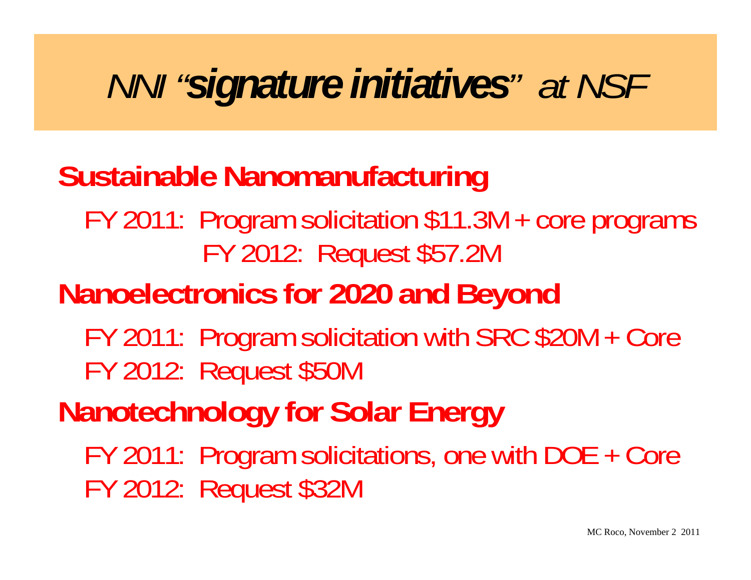# *NNI "signature initiatives" at NSF*

### **Sustainable Nanomanufacturing**

#### FY 2011: Program solicitation \$11.3M + core programs FY 2012: Request \$57.2M

### **Nanoelectronics for 2020 and Beyond**

FY 2011: Program solicitation with SRC \$20M + Core FY 2012: Request \$50M

## **Nanotechnology for Solar Energy**

FY 2011: Program solicitations, one with DOE + Core FY 2012: Request \$32M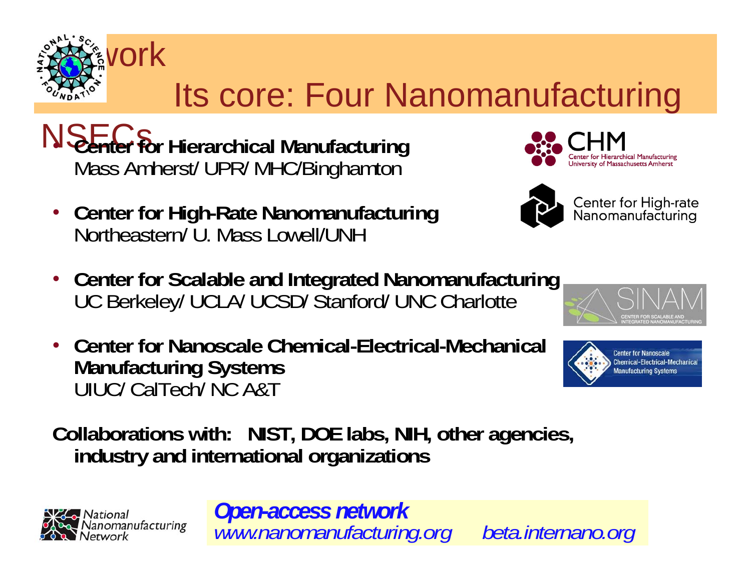

## Its core: Four Nanomanufacturing

 $N$ S $F$ **Center for Hierarchical Manufacturing and Center for Hierarchical Manufacturing and Center of Second Mass Amherst/ UPR/ MHC/Binghamton** 

- **Center for High-Rate Nanomanufacturing** Northeastern/ U. Mass Lowell/UNH
- Center for Scalable and Integrated Nanomanufacturing UC Berkeley/ UCLA/ UCSD/ Stanford/ UNC Charlotte
- **Center for Nanoscale Chemical-Electrical-Mechanical Manufacturing Systems** UIUC/ CalTech/ NC A&T

**Collaborations with: NIST, DOE labs, NIH, other agencies, industry and international organizations**



*Open-access network www.nanomanufacturing.org beta.internano.org*





Center for High-rate Nanomanufacturing



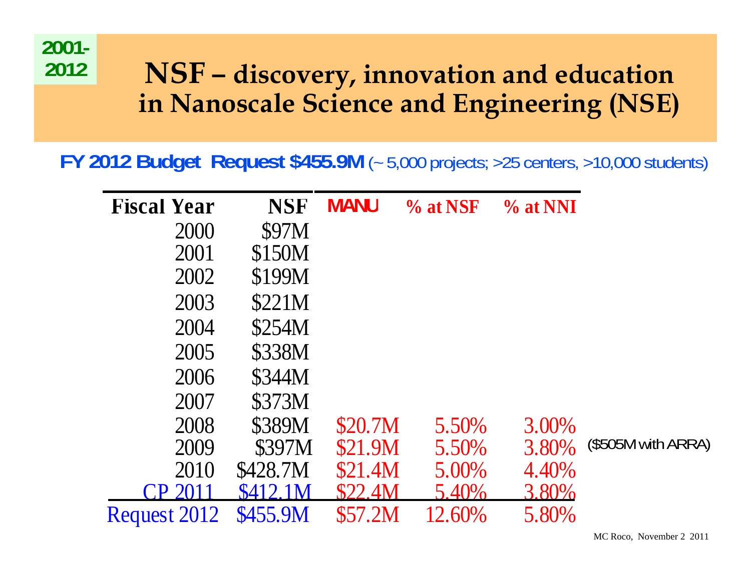

#### **NSF – discovery, innovation and education in Nanoscale Science and Engineering (NSE)**

**FY 2012 Budget Request \$455.9M** (~ 5,000 projects; >25 centers, >10,000 students)

| <b>Fiscal Year</b>             | <b>NSF</b> | <b>NIANU</b>   | % at NSF | $\%$ at NNI |                     |
|--------------------------------|------------|----------------|----------|-------------|---------------------|
| 2000                           | \$97M      |                |          |             |                     |
| 2001                           | \$150M     |                |          |             |                     |
| 2002                           | \$199M     |                |          |             |                     |
| 2003                           | \$221M     |                |          |             |                     |
| 2004                           | \$254M     |                |          |             |                     |
| 2005                           | \$338M     |                |          |             |                     |
| 2006                           | \$344M     |                |          |             |                     |
| 2007                           | \$373M     |                |          |             |                     |
| 2008                           | \$389M     | \$20.7M        | 5.50%    | 3.00%       |                     |
| 2009                           | \$397M     | \$21.9M        | 5.50%    | 3.80%       | $($505M$ with ARRA) |
| 2010                           | \$428.7M   | <b>\$21.4M</b> | 5.00%    | 4.40%       |                     |
| $\mathsf{C}\mathsf{P}$<br>2011 | \$412.1M   | <b>\$22.4M</b> | 5.40%    | 3.80%       |                     |
| Request 2012                   | \$455.9M   | <b>\$57.2M</b> | 12.60%   | 5.80%       |                     |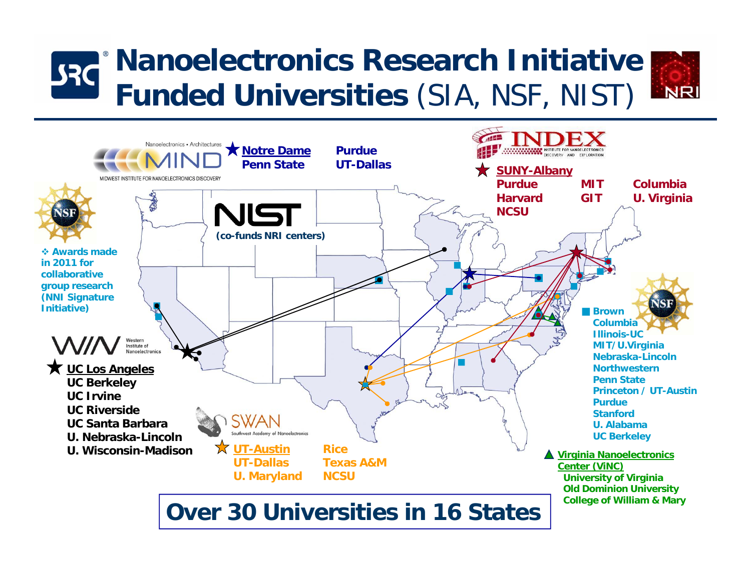#### **Nanoelectronics Research Initiative JRC NRI Funded Universities** (SIA, NSF, NIST)



**Over 30 Universities in 16 States**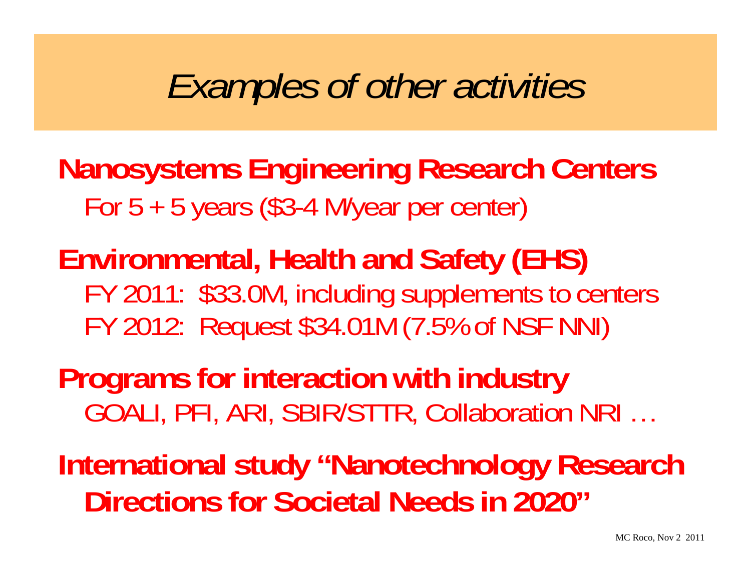# *Examples of other activities*

### **Nanos ystems En gineerin g Research Centers**  For 5 + 5 years (\$3-4 M/year per center)

**Environmental, Health and Safety (EHS)**  FY 2011: \$33.0M, includin g supplements to centers FY 2012: Request \$34.01M (7.5% of NSF NNI)

**Programs for interaction with industry**  GOALI, PFI, ARI, SBIR/STTR, Collaboration NRI …

**International study "Nanotechnology Research Directions for Societal Needs in 2020"**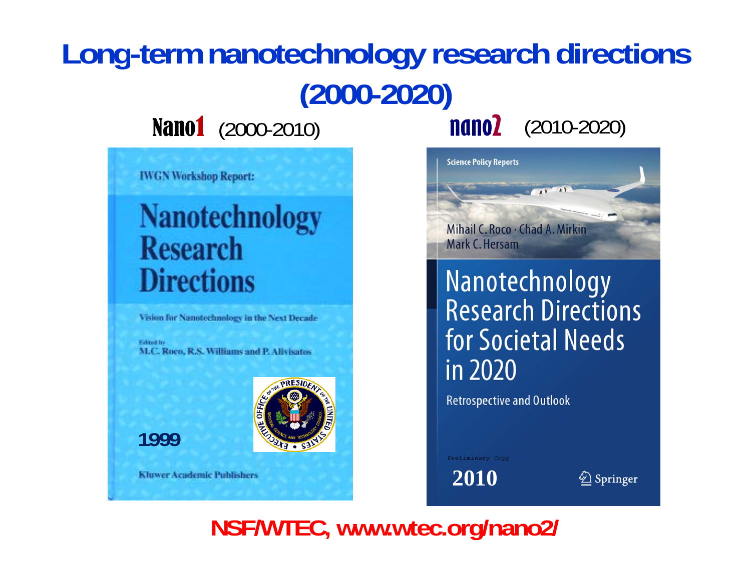# **Long-term nanotechnology research directions (2000-2020)**

**IWGN Workshop Report:** 

### **Nanotechnology Research Directions**

Vision for Nanotechnology in the Next Decade

Edited by M.C. Roco, R.S. Williams and P. Allylsatos

**1999**



**Kluwer Academic Publishers** 

**Nano1** (2000-2010) **nano2** (2010-2020)



Nanotechnology **Research Directions** for Societal Needs in 2020

**Retrospective and Outlook** 

Preliminary Copy

**2010**

 $\bigcirc$  Springer

**NSF/WTEC, www.wtec.org/nano2/**